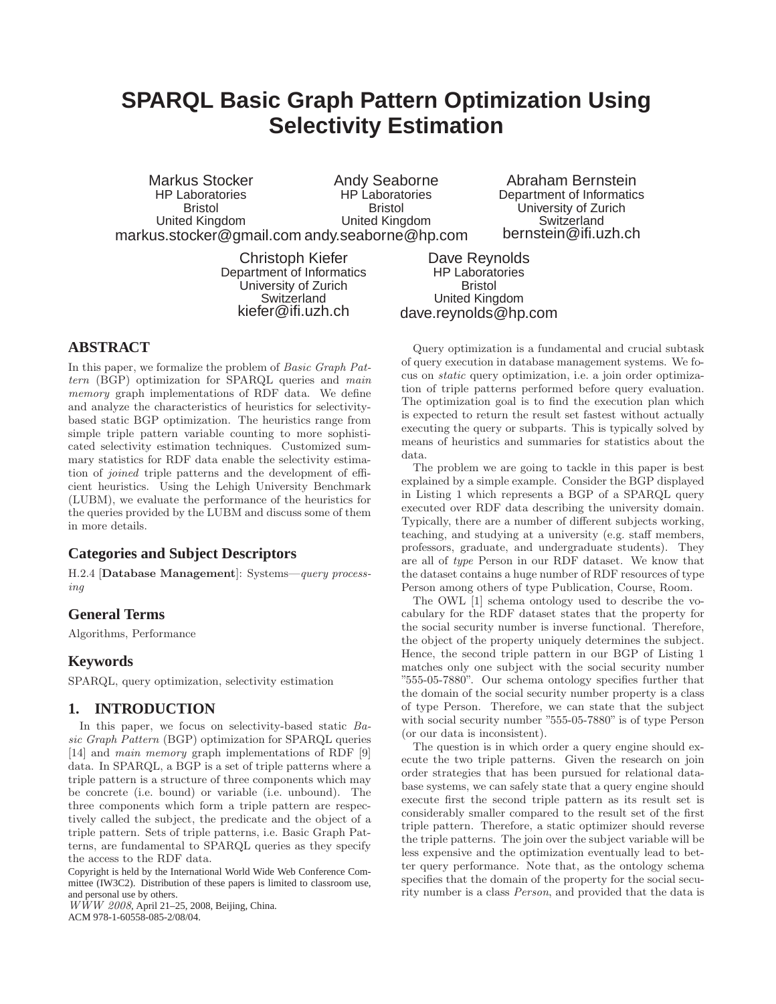# **SPARQL Basic Graph Pattern Optimization Using Selectivity Estimation**

Markus Stocker HP Laboratories Bristol United Kingdom markus.stocker@gmail.com andy.seaborne@hp.com Andy Seaborne HP Laboratories Bristol United Kingdom

Abraham Bernstein Department of Informatics University of Zurich **Switzerland** bernstein@ifi.uzh.ch

Christoph Kiefer Department of Informatics University of Zurich **Switzerland** kiefer@ifi.uzh.ch

# **ABSTRACT**

In this paper, we formalize the problem of Basic Graph Pattern (BGP) optimization for SPARQL queries and main memory graph implementations of RDF data. We define and analyze the characteristics of heuristics for selectivitybased static BGP optimization. The heuristics range from simple triple pattern variable counting to more sophisticated selectivity estimation techniques. Customized summary statistics for RDF data enable the selectivity estimation of joined triple patterns and the development of efficient heuristics. Using the Lehigh University Benchmark (LUBM), we evaluate the performance of the heuristics for the queries provided by the LUBM and discuss some of them in more details.

# **Categories and Subject Descriptors**

H.2.4 [Database Management]: Systems—query processing

# **General Terms**

Algorithms, Performance

# **Keywords**

SPARQL, query optimization, selectivity estimation

# **1. INTRODUCTION**

In this paper, we focus on selectivity-based static Basic Graph Pattern (BGP) optimization for SPARQL queries [14] and main memory graph implementations of RDF [9] data. In SPARQL, a BGP is a set of triple patterns where a triple pattern is a structure of three components which may be concrete (i.e. bound) or variable (i.e. unbound). The three components which form a triple pattern are respectively called the subject, the predicate and the object of a triple pattern. Sets of triple patterns, i.e. Basic Graph Patterns, are fundamental to SPARQL queries as they specify the access to the RDF data.

Copyright is held by the International World Wide Web Conference Committee (IW3C2). Distribution of these papers is limited to classroom use, and personal use by others.

 $W\dot{W}W$  2008, April 21–25, 2008, Beijing, China. ACM 978-1-60558-085-2/08/04.

Dave Reynolds HP Laboratories Bristol United Kingdom dave.reynolds@hp.com

Query optimization is a fundamental and crucial subtask of query execution in database management systems. We focus on static query optimization, i.e. a join order optimization of triple patterns performed before query evaluation. The optimization goal is to find the execution plan which is expected to return the result set fastest without actually executing the query or subparts. This is typically solved by means of heuristics and summaries for statistics about the data.

The problem we are going to tackle in this paper is best explained by a simple example. Consider the BGP displayed in Listing 1 which represents a BGP of a SPARQL query executed over RDF data describing the university domain. Typically, there are a number of different subjects working, teaching, and studying at a university (e.g. staff members, professors, graduate, and undergraduate students). They are all of type Person in our RDF dataset. We know that the dataset contains a huge number of RDF resources of type Person among others of type Publication, Course, Room.

The OWL [1] schema ontology used to describe the vocabulary for the RDF dataset states that the property for the social security number is inverse functional. Therefore, the object of the property uniquely determines the subject. Hence, the second triple pattern in our BGP of Listing 1 matches only one subject with the social security number "555-05-7880". Our schema ontology specifies further that the domain of the social security number property is a class of type Person. Therefore, we can state that the subject with social security number "555-05-7880" is of type Person (or our data is inconsistent).

The question is in which order a query engine should execute the two triple patterns. Given the research on join order strategies that has been pursued for relational database systems, we can safely state that a query engine should execute first the second triple pattern as its result set is considerably smaller compared to the result set of the first triple pattern. Therefore, a static optimizer should reverse the triple patterns. The join over the subject variable will be less expensive and the optimization eventually lead to better query performance. Note that, as the ontology schema specifies that the domain of the property for the social security number is a class Person, and provided that the data is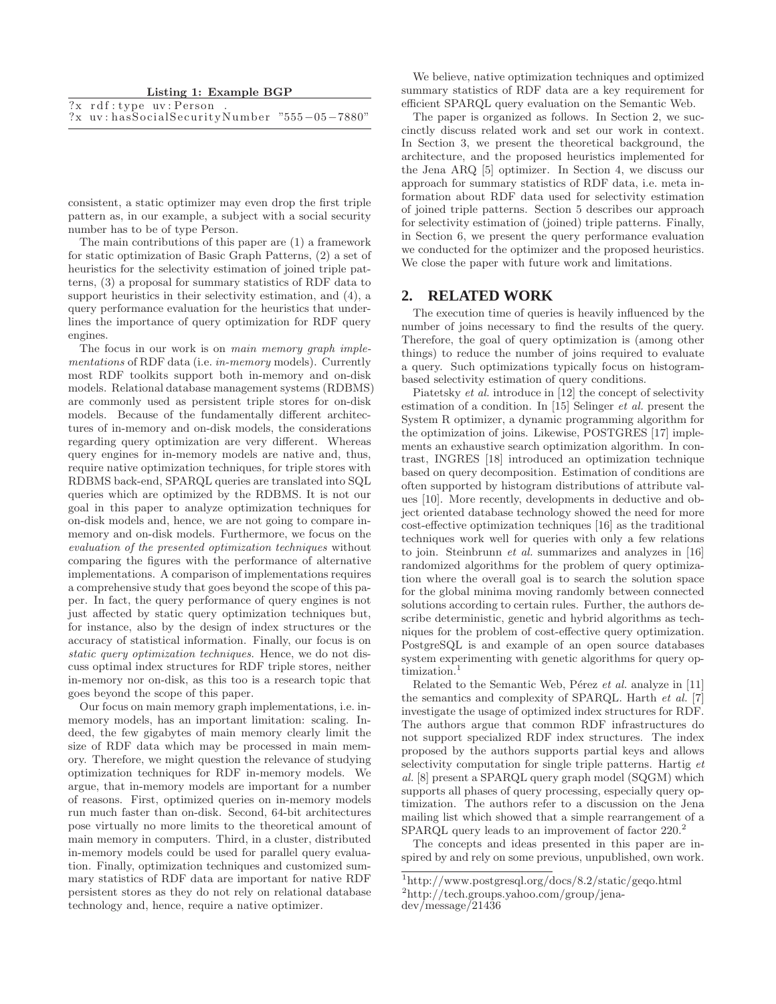| Listing 1: Example BGP |                                             |  |  |  |
|------------------------|---------------------------------------------|--|--|--|
|                        | ?x rdf:type uv:Person.                      |  |  |  |
|                        | ?x uv:hasSocialSecurityNumber "555-05-7880" |  |  |  |

consistent, a static optimizer may even drop the first triple pattern as, in our example, a subject with a social security number has to be of type Person.

The main contributions of this paper are (1) a framework for static optimization of Basic Graph Patterns, (2) a set of heuristics for the selectivity estimation of joined triple patterns, (3) a proposal for summary statistics of RDF data to support heuristics in their selectivity estimation, and (4), a query performance evaluation for the heuristics that underlines the importance of query optimization for RDF query engines.

The focus in our work is on main memory graph implementations of RDF data (i.e. in-memory models). Currently most RDF toolkits support both in-memory and on-disk models. Relational database management systems (RDBMS) are commonly used as persistent triple stores for on-disk models. Because of the fundamentally different architectures of in-memory and on-disk models, the considerations regarding query optimization are very different. Whereas query engines for in-memory models are native and, thus, require native optimization techniques, for triple stores with RDBMS back-end, SPARQL queries are translated into SQL queries which are optimized by the RDBMS. It is not our goal in this paper to analyze optimization techniques for on-disk models and, hence, we are not going to compare inmemory and on-disk models. Furthermore, we focus on the evaluation of the presented optimization techniques without comparing the figures with the performance of alternative implementations. A comparison of implementations requires a comprehensive study that goes beyond the scope of this paper. In fact, the query performance of query engines is not just affected by static query optimization techniques but, for instance, also by the design of index structures or the accuracy of statistical information. Finally, our focus is on static query optimization techniques. Hence, we do not discuss optimal index structures for RDF triple stores, neither in-memory nor on-disk, as this too is a research topic that goes beyond the scope of this paper.

Our focus on main memory graph implementations, i.e. inmemory models, has an important limitation: scaling. Indeed, the few gigabytes of main memory clearly limit the size of RDF data which may be processed in main memory. Therefore, we might question the relevance of studying optimization techniques for RDF in-memory models. We argue, that in-memory models are important for a number of reasons. First, optimized queries on in-memory models run much faster than on-disk. Second, 64-bit architectures pose virtually no more limits to the theoretical amount of main memory in computers. Third, in a cluster, distributed in-memory models could be used for parallel query evaluation. Finally, optimization techniques and customized summary statistics of RDF data are important for native RDF persistent stores as they do not rely on relational database technology and, hence, require a native optimizer.

We believe, native optimization techniques and optimized summary statistics of RDF data are a key requirement for efficient SPARQL query evaluation on the Semantic Web.

The paper is organized as follows. In Section 2, we succinctly discuss related work and set our work in context. In Section 3, we present the theoretical background, the architecture, and the proposed heuristics implemented for the Jena ARQ [5] optimizer. In Section 4, we discuss our approach for summary statistics of RDF data, i.e. meta information about RDF data used for selectivity estimation of joined triple patterns. Section 5 describes our approach for selectivity estimation of (joined) triple patterns. Finally, in Section 6, we present the query performance evaluation we conducted for the optimizer and the proposed heuristics. We close the paper with future work and limitations.

# **2. RELATED WORK**

The execution time of queries is heavily influenced by the number of joins necessary to find the results of the query. Therefore, the goal of query optimization is (among other things) to reduce the number of joins required to evaluate a query. Such optimizations typically focus on histogrambased selectivity estimation of query conditions.

Piatetsky et al. introduce in [12] the concept of selectivity estimation of a condition. In [15] Selinger et al. present the System R optimizer, a dynamic programming algorithm for the optimization of joins. Likewise, POSTGRES [17] implements an exhaustive search optimization algorithm. In contrast, INGRES [18] introduced an optimization technique based on query decomposition. Estimation of conditions are often supported by histogram distributions of attribute values [10]. More recently, developments in deductive and object oriented database technology showed the need for more cost-effective optimization techniques [16] as the traditional techniques work well for queries with only a few relations to join. Steinbrunn et al. summarizes and analyzes in [16] randomized algorithms for the problem of query optimization where the overall goal is to search the solution space for the global minima moving randomly between connected solutions according to certain rules. Further, the authors describe deterministic, genetic and hybrid algorithms as techniques for the problem of cost-effective query optimization. PostgreSQL is and example of an open source databases system experimenting with genetic algorithms for query optimization.<sup>1</sup>

Related to the Semantic Web, Pérez et al. analyze in  $[11]$ the semantics and complexity of SPARQL. Harth et al. [7] investigate the usage of optimized index structures for RDF. The authors argue that common RDF infrastructures do not support specialized RDF index structures. The index proposed by the authors supports partial keys and allows selectivity computation for single triple patterns. Hartig  $et$ al. [8] present a SPARQL query graph model (SQGM) which supports all phases of query processing, especially query optimization. The authors refer to a discussion on the Jena mailing list which showed that a simple rearrangement of a SPARQL query leads to an improvement of factor  $220.<sup>2</sup>$ 

The concepts and ideas presented in this paper are inspired by and rely on some previous, unpublished, own work.

<sup>1</sup>http://www.postgresql.org/docs/8.2/static/geqo.html <sup>2</sup>http://tech.groups.yahoo.com/group/jena $dev/message/21436$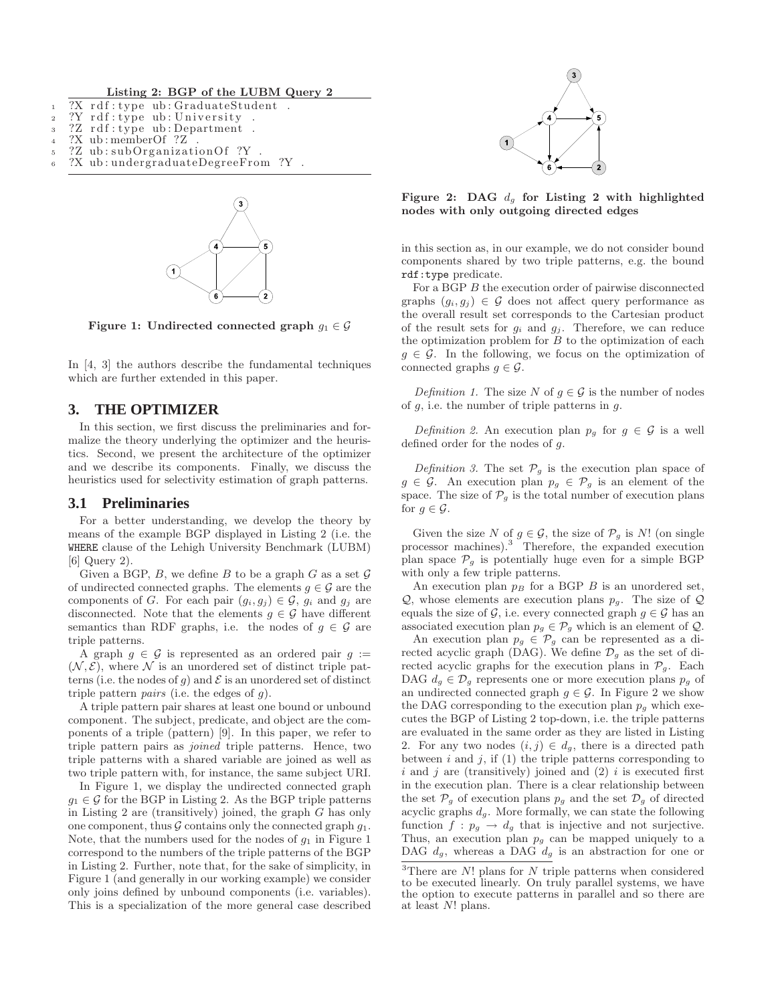Listing 2: BGP of the LUBM Query 2

- $\frac{1}{2}$   $\frac{7X \text{ rdf}: \text{type}}{7Y \text{ rdf}: \text{type}}$  when University
- $?Y$  rdf: type ub: University
- 3 ?Z rdf: type ub: Department . <br>3 ?X ub: memberOf ?Z .
- ?X ub:memberOf ?Z
- 5 ?Z ub: subOrganizationOf ?Y.
- ?X ub: undergraduateDegreeFrom ?Y .



Figure 1: Undirected connected graph  $g_1 \in \mathcal{G}$ 

In [4, 3] the authors describe the fundamental techniques which are further extended in this paper.

# **3. THE OPTIMIZER**

In this section, we first discuss the preliminaries and formalize the theory underlying the optimizer and the heuristics. Second, we present the architecture of the optimizer and we describe its components. Finally, we discuss the heuristics used for selectivity estimation of graph patterns.

#### **3.1 Preliminaries**

For a better understanding, we develop the theory by means of the example BGP displayed in Listing 2 (i.e. the WHERE clause of the Lehigh University Benchmark (LUBM) [6] Query 2).

Given a BGP, B, we define B to be a graph G as a set  $\mathcal G$ of undirected connected graphs. The elements  $g \in \mathcal{G}$  are the components of G. For each pair  $(g_i, g_j) \in \mathcal{G}$ ,  $g_i$  and  $g_j$  are disconnected. Note that the elements  $g \in \mathcal{G}$  have different semantics than RDF graphs, i.e. the nodes of  $g \in \mathcal{G}$  are triple patterns.

A graph  $g \in \mathcal{G}$  is represented as an ordered pair  $g :=$  $(N, \mathcal{E})$ , where N is an unordered set of distinct triple patterns (i.e. the nodes of g) and  $\mathcal E$  is an unordered set of distinct triple pattern *pairs* (i.e. the edges of  $q$ ).

A triple pattern pair shares at least one bound or unbound component. The subject, predicate, and object are the components of a triple (pattern) [9]. In this paper, we refer to triple pattern pairs as joined triple patterns. Hence, two triple patterns with a shared variable are joined as well as two triple pattern with, for instance, the same subject URI.

In Figure 1, we display the undirected connected graph  $g_1 \in \mathcal{G}$  for the BGP in Listing 2. As the BGP triple patterns in Listing 2 are (transitively) joined, the graph  $G$  has only one component, thus  $\mathcal G$  contains only the connected graph  $g_1$ . Note, that the numbers used for the nodes of  $g_1$  in Figure 1 correspond to the numbers of the triple patterns of the BGP in Listing 2. Further, note that, for the sake of simplicity, in Figure 1 (and generally in our working example) we consider only joins defined by unbound components (i.e. variables). This is a specialization of the more general case described



Figure 2: DAG  $d_q$  for Listing 2 with highlighted nodes with only outgoing directed edges

in this section as, in our example, we do not consider bound components shared by two triple patterns, e.g. the bound rdf:type predicate.

For a BGP B the execution order of pairwise disconnected graphs  $(g_i, g_j) \in \mathcal{G}$  does not affect query performance as the overall result set corresponds to the Cartesian product of the result sets for  $g_i$  and  $g_j$ . Therefore, we can reduce the optimization problem for  $B$  to the optimization of each  $g \in \mathcal{G}$ . In the following, we focus on the optimization of connected graphs  $q \in \mathcal{G}$ .

Definition 1. The size N of  $g \in \mathcal{G}$  is the number of nodes of  $g$ , i.e. the number of triple patterns in  $g$ .

Definition 2. An execution plan  $p_g$  for  $g \in \mathcal{G}$  is a well defined order for the nodes of g.

Definition 3. The set  $\mathcal{P}_g$  is the execution plan space of  $g \in \mathcal{G}$ . An execution plan  $p_g \in \mathcal{P}_g$  is an element of the space. The size of  $P_g$  is the total number of execution plans for  $g \in \mathcal{G}$ .

Given the size N of  $g \in \mathcal{G}$ , the size of  $\mathcal{P}_g$  is N! (on single processor machines).<sup>3</sup> Therefore, the expanded execution plan space  $\mathcal{P}_g$  is potentially huge even for a simple BGP with only a few triple patterns.

An execution plan  $p_B$  for a BGP B is an unordered set,  $Q$ , whose elements are execution plans  $p_g$ . The size of  $Q$ equals the size of  $\mathcal{G}$ , i.e. every connected graph  $g \in \mathcal{G}$  has an associated execution plan  $p_g \in \mathcal{P}_g$  which is an element of  $\mathcal{Q}$ .

An execution plan  $p_g \in \mathcal{P}_g$  can be represented as a directed acyclic graph (DAG). We define  $\mathcal{D}_g$  as the set of directed acyclic graphs for the execution plans in  $\mathcal{P}_g$ . Each DAG  $d_q \in \mathcal{D}_q$  represents one or more execution plans  $p_q$  of an undirected connected graph  $q \in \mathcal{G}$ . In Figure 2 we show the DAG corresponding to the execution plan  $p_q$  which executes the BGP of Listing 2 top-down, i.e. the triple patterns are evaluated in the same order as they are listed in Listing 2. For any two nodes  $(i, j) \in d_g$ , there is a directed path between  $i$  and  $j$ , if (1) the triple patterns corresponding to  $i$  and  $j$  are (transitively) joined and (2)  $i$  is executed first in the execution plan. There is a clear relationship between the set  $\mathcal{P}_g$  of execution plans  $p_g$  and the set  $\mathcal{D}_g$  of directed acyclic graphs  $d_g$ . More formally, we can state the following function  $f : p_g \to d_g$  that is injective and not surjective. Thus, an execution plan  $p<sub>g</sub>$  can be mapped uniquely to a DAG  $d_g$ , whereas a DAG  $d_g$  is an abstraction for one or

 $3$ There are  $N!$  plans for  $N$  triple patterns when considered to be executed linearly. On truly parallel systems, we have the option to execute patterns in parallel and so there are at least N! plans.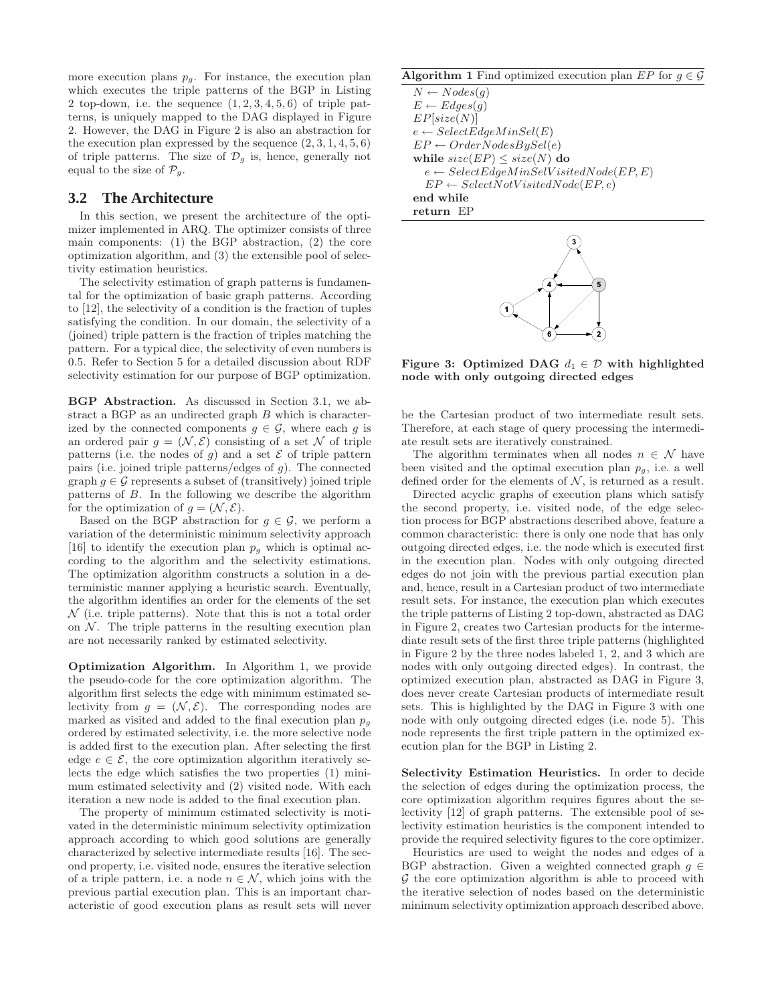more execution plans  $p_q$ . For instance, the execution plan which executes the triple patterns of the BGP in Listing 2 top-down, i.e. the sequence  $(1, 2, 3, 4, 5, 6)$  of triple patterns, is uniquely mapped to the DAG displayed in Figure 2. However, the DAG in Figure 2 is also an abstraction for the execution plan expressed by the sequence  $(2, 3, 1, 4, 5, 6)$ of triple patterns. The size of  $\mathcal{D}_g$  is, hence, generally not equal to the size of  $\mathcal{P}_g$ .

# **3.2 The Architecture**

In this section, we present the architecture of the optimizer implemented in ARQ. The optimizer consists of three main components: (1) the BGP abstraction, (2) the core optimization algorithm, and (3) the extensible pool of selectivity estimation heuristics.

The selectivity estimation of graph patterns is fundamental for the optimization of basic graph patterns. According to [12], the selectivity of a condition is the fraction of tuples satisfying the condition. In our domain, the selectivity of a (joined) triple pattern is the fraction of triples matching the pattern. For a typical dice, the selectivity of even numbers is 0.5. Refer to Section 5 for a detailed discussion about RDF selectivity estimation for our purpose of BGP optimization.

BGP Abstraction. As discussed in Section 3.1, we abstract a BGP as an undirected graph B which is characterized by the connected components  $q \in \mathcal{G}$ , where each q is an ordered pair  $q = (\mathcal{N}, \mathcal{E})$  consisting of a set N of triple patterns (i.e. the nodes of g) and a set  $\mathcal E$  of triple pattern pairs (i.e. joined triple patterns/edges of  $g$ ). The connected graph  $g \in \mathcal{G}$  represents a subset of (transitively) joined triple patterns of B. In the following we describe the algorithm for the optimization of  $g = (\mathcal{N}, \mathcal{E})$ .

Based on the BGP abstraction for  $g \in \mathcal{G}$ , we perform a variation of the deterministic minimum selectivity approach [16] to identify the execution plan  $p<sub>g</sub>$  which is optimal according to the algorithm and the selectivity estimations. The optimization algorithm constructs a solution in a deterministic manner applying a heuristic search. Eventually, the algorithm identifies an order for the elements of the set  $\mathcal N$  (i.e. triple patterns). Note that this is not a total order on  $N$ . The triple patterns in the resulting execution plan are not necessarily ranked by estimated selectivity.

Optimization Algorithm. In Algorithm 1, we provide the pseudo-code for the core optimization algorithm. The algorithm first selects the edge with minimum estimated selectivity from  $q = (\mathcal{N}, \mathcal{E})$ . The corresponding nodes are marked as visited and added to the final execution plan  $p_q$ ordered by estimated selectivity, i.e. the more selective node is added first to the execution plan. After selecting the first edge  $e \in \mathcal{E}$ , the core optimization algorithm iteratively selects the edge which satisfies the two properties (1) minimum estimated selectivity and (2) visited node. With each iteration a new node is added to the final execution plan.

The property of minimum estimated selectivity is motivated in the deterministic minimum selectivity optimization approach according to which good solutions are generally characterized by selective intermediate results [16]. The second property, i.e. visited node, ensures the iterative selection of a triple pattern, i.e. a node  $n \in \mathcal{N}$ , which joins with the previous partial execution plan. This is an important characteristic of good execution plans as result sets will never

#### **Algorithm 1** Find optimized execution plan  $EP$  for  $g \in \mathcal{G}$

 $N \leftarrow Nodes(g)$  $E \leftarrow Edges(g)$  $EP[size(N)]$  $e \leftarrow SelectEdgeMinSel(E)$  $EP \leftarrow OrderNodesBySel(e)$ while  $size(EP) \leq size(N)$  do  $e \leftarrow SelectEdgeMinSelV isitedNode(EP, E)$  $EP \leftarrow SelectNotV is tiedNode(EP, e)$ end while return EP



Figure 3: Optimized DAG  $d_1 \in \mathcal{D}$  with highlighted node with only outgoing directed edges

be the Cartesian product of two intermediate result sets. Therefore, at each stage of query processing the intermediate result sets are iteratively constrained.

The algorithm terminates when all nodes  $n \in \mathcal{N}$  have been visited and the optimal execution plan  $p_q$ , i.e. a well defined order for the elements of  $N$ , is returned as a result.

Directed acyclic graphs of execution plans which satisfy the second property, i.e. visited node, of the edge selection process for BGP abstractions described above, feature a common characteristic: there is only one node that has only outgoing directed edges, i.e. the node which is executed first in the execution plan. Nodes with only outgoing directed edges do not join with the previous partial execution plan and, hence, result in a Cartesian product of two intermediate result sets. For instance, the execution plan which executes the triple patterns of Listing 2 top-down, abstracted as DAG in Figure 2, creates two Cartesian products for the intermediate result sets of the first three triple patterns (highlighted in Figure 2 by the three nodes labeled 1, 2, and 3 which are nodes with only outgoing directed edges). In contrast, the optimized execution plan, abstracted as DAG in Figure 3, does never create Cartesian products of intermediate result sets. This is highlighted by the DAG in Figure 3 with one node with only outgoing directed edges (i.e. node 5). This node represents the first triple pattern in the optimized execution plan for the BGP in Listing 2.

Selectivity Estimation Heuristics. In order to decide the selection of edges during the optimization process, the core optimization algorithm requires figures about the selectivity [12] of graph patterns. The extensible pool of selectivity estimation heuristics is the component intended to provide the required selectivity figures to the core optimizer.

Heuristics are used to weight the nodes and edges of a BGP abstraction. Given a weighted connected graph  $g \in$  $G$  the core optimization algorithm is able to proceed with the iterative selection of nodes based on the deterministic minimum selectivity optimization approach described above.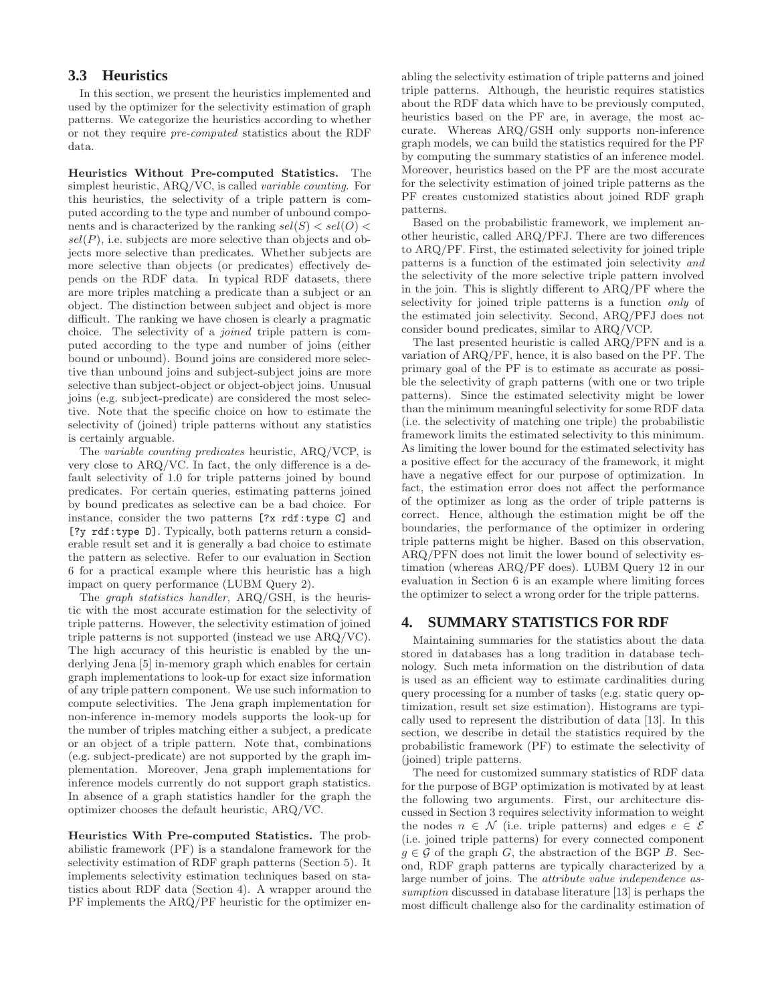# **3.3 Heuristics**

In this section, we present the heuristics implemented and used by the optimizer for the selectivity estimation of graph patterns. We categorize the heuristics according to whether or not they require pre-computed statistics about the RDF data.

Heuristics Without Pre-computed Statistics. The simplest heuristic, ARQ/VC, is called variable counting. For this heuristics, the selectivity of a triple pattern is computed according to the type and number of unbound components and is characterized by the ranking  $sel(S) < sel(O)$  $sel(P)$ , i.e. subjects are more selective than objects and objects more selective than predicates. Whether subjects are more selective than objects (or predicates) effectively depends on the RDF data. In typical RDF datasets, there are more triples matching a predicate than a subject or an object. The distinction between subject and object is more difficult. The ranking we have chosen is clearly a pragmatic choice. The selectivity of a joined triple pattern is computed according to the type and number of joins (either bound or unbound). Bound joins are considered more selective than unbound joins and subject-subject joins are more selective than subject-object or object-object joins. Unusual joins (e.g. subject-predicate) are considered the most selective. Note that the specific choice on how to estimate the selectivity of (joined) triple patterns without any statistics is certainly arguable.

The variable counting predicates heuristic, ARQ/VCP, is very close to ARQ/VC. In fact, the only difference is a default selectivity of 1.0 for triple patterns joined by bound predicates. For certain queries, estimating patterns joined by bound predicates as selective can be a bad choice. For instance, consider the two patterns [?x rdf:type C] and [?y rdf:type D]. Typically, both patterns return a considerable result set and it is generally a bad choice to estimate the pattern as selective. Refer to our evaluation in Section 6 for a practical example where this heuristic has a high impact on query performance (LUBM Query 2).

The graph statistics handler, ARQ/GSH, is the heuristic with the most accurate estimation for the selectivity of triple patterns. However, the selectivity estimation of joined triple patterns is not supported (instead we use ARQ/VC). The high accuracy of this heuristic is enabled by the underlying Jena [5] in-memory graph which enables for certain graph implementations to look-up for exact size information of any triple pattern component. We use such information to compute selectivities. The Jena graph implementation for non-inference in-memory models supports the look-up for the number of triples matching either a subject, a predicate or an object of a triple pattern. Note that, combinations (e.g. subject-predicate) are not supported by the graph implementation. Moreover, Jena graph implementations for inference models currently do not support graph statistics. In absence of a graph statistics handler for the graph the optimizer chooses the default heuristic, ARQ/VC.

Heuristics With Pre-computed Statistics. The probabilistic framework (PF) is a standalone framework for the selectivity estimation of RDF graph patterns (Section 5). It implements selectivity estimation techniques based on statistics about RDF data (Section 4). A wrapper around the PF implements the ARQ/PF heuristic for the optimizer enabling the selectivity estimation of triple patterns and joined triple patterns. Although, the heuristic requires statistics about the RDF data which have to be previously computed, heuristics based on the PF are, in average, the most accurate. Whereas ARQ/GSH only supports non-inference graph models, we can build the statistics required for the PF by computing the summary statistics of an inference model. Moreover, heuristics based on the PF are the most accurate for the selectivity estimation of joined triple patterns as the PF creates customized statistics about joined RDF graph patterns.

Based on the probabilistic framework, we implement another heuristic, called ARQ/PFJ. There are two differences to ARQ/PF. First, the estimated selectivity for joined triple patterns is a function of the estimated join selectivity and the selectivity of the more selective triple pattern involved in the join. This is slightly different to ARQ/PF where the selectivity for joined triple patterns is a function only of the estimated join selectivity. Second, ARQ/PFJ does not consider bound predicates, similar to ARQ/VCP.

The last presented heuristic is called ARQ/PFN and is a variation of ARQ/PF, hence, it is also based on the PF. The primary goal of the PF is to estimate as accurate as possible the selectivity of graph patterns (with one or two triple patterns). Since the estimated selectivity might be lower than the minimum meaningful selectivity for some RDF data (i.e. the selectivity of matching one triple) the probabilistic framework limits the estimated selectivity to this minimum. As limiting the lower bound for the estimated selectivity has a positive effect for the accuracy of the framework, it might have a negative effect for our purpose of optimization. In fact, the estimation error does not affect the performance of the optimizer as long as the order of triple patterns is correct. Hence, although the estimation might be off the boundaries, the performance of the optimizer in ordering triple patterns might be higher. Based on this observation, ARQ/PFN does not limit the lower bound of selectivity estimation (whereas ARQ/PF does). LUBM Query 12 in our evaluation in Section 6 is an example where limiting forces the optimizer to select a wrong order for the triple patterns.

# **4. SUMMARY STATISTICS FOR RDF**

Maintaining summaries for the statistics about the data stored in databases has a long tradition in database technology. Such meta information on the distribution of data is used as an efficient way to estimate cardinalities during query processing for a number of tasks (e.g. static query optimization, result set size estimation). Histograms are typically used to represent the distribution of data [13]. In this section, we describe in detail the statistics required by the probabilistic framework (PF) to estimate the selectivity of (joined) triple patterns.

The need for customized summary statistics of RDF data for the purpose of BGP optimization is motivated by at least the following two arguments. First, our architecture discussed in Section 3 requires selectivity information to weight the nodes  $n \in \mathcal{N}$  (i.e. triple patterns) and edges  $e \in \mathcal{E}$ (i.e. joined triple patterns) for every connected component  $g \in \mathcal{G}$  of the graph G, the abstraction of the BGP B. Second, RDF graph patterns are typically characterized by a large number of joins. The attribute value independence assumption discussed in database literature [13] is perhaps the most difficult challenge also for the cardinality estimation of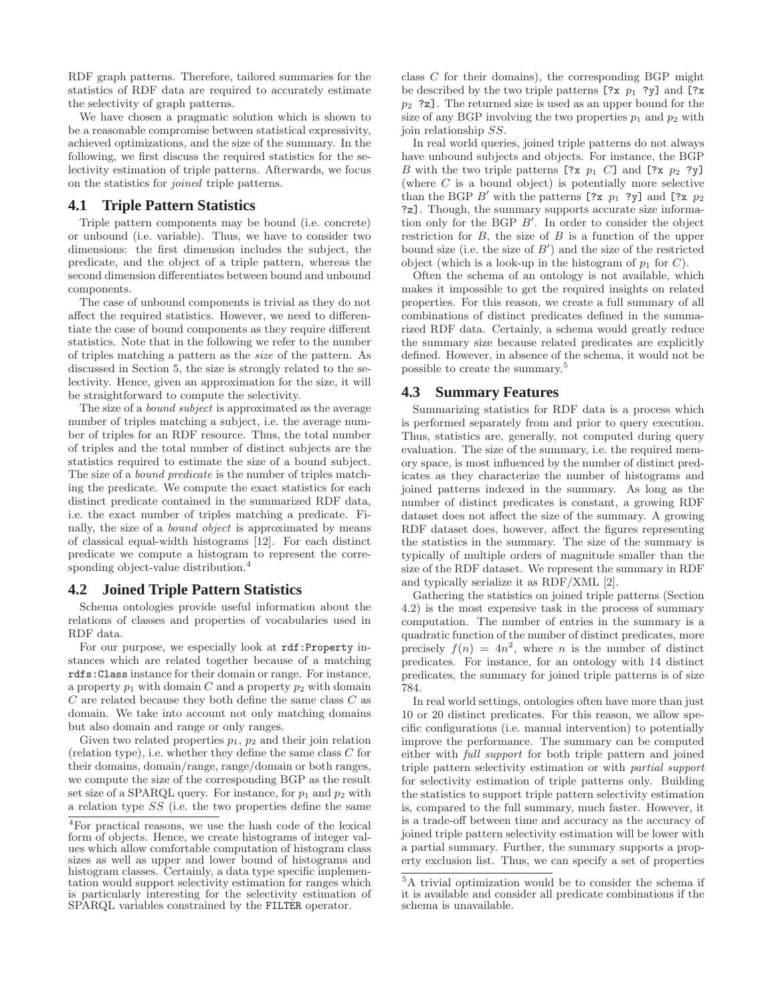RDF graph patterns. Therefore, tailored summaries for the statistics of RDF data are required to accurately estimate the selectivity of graph patterns.

We have chosen a pragmatic solution which is shown to be a reasonable compromise between statistical expressivity, achieved optimizations, and the size of the summary. In the following, we first discuss the required statistics for the selectivity estimation of triple patterns. Afterwards, we focus on the statistics for joined triple patterns.

## **4.1 Triple Pattern Statistics**

Triple pattern components may be bound (i.e. concrete) or unbound (i.e. variable). Thus, we have to consider two dimensions: the first dimension includes the subject, the predicate, and the object of a triple pattern, whereas the second dimension differentiates between bound and unbound components.

The case of unbound components is trivial as they do not affect the required statistics. However, we need to differentiate the case of bound components as they require different statistics. Note that in the following we refer to the number of triples matching a pattern as the size of the pattern. As discussed in Section 5, the size is strongly related to the selectivity. Hence, given an approximation for the size, it will be straightforward to compute the selectivity.

The size of a *bound subject* is approximated as the average number of triples matching a subject, i.e. the average number of triples for an RDF resource. Thus, the total number of triples and the total number of distinct subjects are the statistics required to estimate the size of a bound subject. The size of a bound predicate is the number of triples matching the predicate. We compute the exact statistics for each distinct predicate contained in the summarized RDF data, i.e. the exact number of triples matching a predicate. Finally, the size of a bound object is approximated by means of classical equal-width histograms [12]. For each distinct predicate we compute a histogram to represent the corresponding object-value distribution.<sup>4</sup>

#### **4.2 Joined Triple Pattern Statistics**

Schema ontologies provide useful information about the relations of classes and properties of vocabularies used in RDF data.

For our purpose, we especially look at rdf:Property instances which are related together because of a matching rdfs:Class instance for their domain or range. For instance, a property  $p_1$  with domain C and a property  $p_2$  with domain  $C$  are related because they both define the same class  $C$  as domain. We take into account not only matching domains but also domain and range or only ranges.

Given two related properties  $p_1$ ,  $p_2$  and their join relation (relation type), i.e. whether they define the same class  $C$  for their domains, domain/range, range/domain or both ranges, we compute the size of the corresponding BGP as the result set size of a SPARQL query. For instance, for  $p_1$  and  $p_2$  with a relation type SS (i.e. the two properties define the same class C for their domains), the corresponding BGP might be described by the two triple patterns  $[?x \ p_1 \ ?y]$  and  $[?x$  $p_2$  ?**z**]. The returned size is used as an upper bound for the size of any BGP involving the two properties  $p_1$  and  $p_2$  with join relationship SS.

In real world queries, joined triple patterns do not always have unbound subjects and objects. For instance, the BGP B with the two triple patterns [?x  $p_1$  C] and [?x  $p_2$  ?y] (where C is a bound object) is potentially more selective than the BGP  $B'$  with the patterns [?x  $p_1$  ?y] and [?x  $p_2$ ?z]. Though, the summary supports accurate size information only for the BGP  $B'$ . In order to consider the object restriction for  $B$ , the size of  $B$  is a function of the upper bound size (i.e. the size of  $B'$ ) and the size of the restricted object (which is a look-up in the histogram of  $p_1$  for  $C$ ).

Often the schema of an ontology is not available, which makes it impossible to get the required insights on related properties. For this reason, we create a full summary of all combinations of distinct predicates defined in the summarized RDF data. Certainly, a schema would greatly reduce the summary size because related predicates are explicitly defined. However, in absence of the schema, it would not be possible to create the summary.<sup>5</sup>

## **4.3 Summary Features**

Summarizing statistics for RDF data is a process which is performed separately from and prior to query execution. Thus, statistics are, generally, not computed during query evaluation. The size of the summary, i.e. the required memory space, is most influenced by the number of distinct predicates as they characterize the number of histograms and joined patterns indexed in the summary. As long as the number of distinct predicates is constant, a growing RDF dataset does not affect the size of the summary. A growing RDF dataset does, however, affect the figures representing the statistics in the summary. The size of the summary is typically of multiple orders of magnitude smaller than the size of the RDF dataset. We represent the summary in RDF and typically serialize it as RDF/XML [2].

Gathering the statistics on joined triple patterns (Section 4.2) is the most expensive task in the process of summary computation. The number of entries in the summary is a quadratic function of the number of distinct predicates, more precisely  $f(n) = 4n^2$ , where *n* is the number of distinct predicates. For instance, for an ontology with 14 distinct predicates, the summary for joined triple patterns is of size 784.

In real world settings, ontologies often have more than just 10 or 20 distinct predicates. For this reason, we allow specific configurations (i.e. manual intervention) to potentially improve the performance. The summary can be computed either with full support for both triple pattern and joined triple pattern selectivity estimation or with partial support for selectivity estimation of triple patterns only. Building the statistics to support triple pattern selectivity estimation is, compared to the full summary, much faster. However, it is a trade-off between time and accuracy as the accuracy of joined triple pattern selectivity estimation will be lower with a partial summary. Further, the summary supports a property exclusion list. Thus, we can specify a set of properties

<sup>4</sup>For practical reasons, we use the hash code of the lexical form of objects. Hence, we create histograms of integer values which allow comfortable computation of histogram class sizes as well as upper and lower bound of histograms and histogram classes. Certainly, a data type specific implementation would support selectivity estimation for ranges which is particularly interesting for the selectivity estimation of SPARQL variables constrained by the FILTER operator.

<sup>5</sup>A trivial optimization would be to consider the schema if it is available and consider all predicate combinations if the schema is unavailable.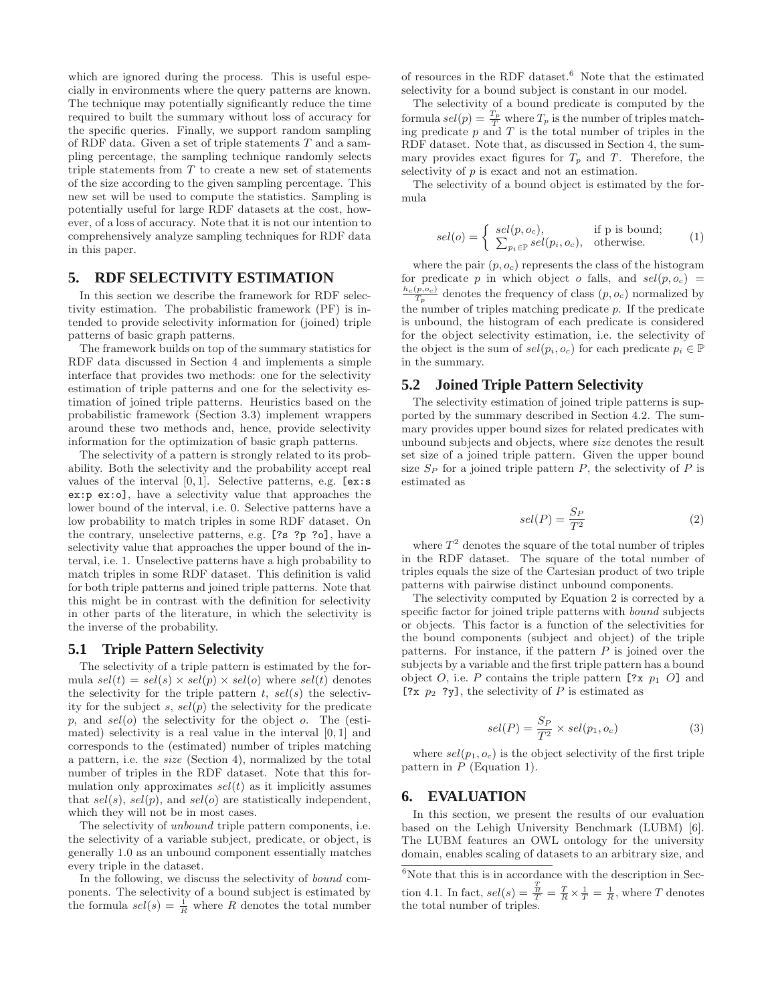which are ignored during the process. This is useful especially in environments where the query patterns are known. The technique may potentially significantly reduce the time required to built the summary without loss of accuracy for the specific queries. Finally, we support random sampling of RDF data. Given a set of triple statements  $T$  and a sampling percentage, the sampling technique randomly selects triple statements from  $T$  to create a new set of statements of the size according to the given sampling percentage. This new set will be used to compute the statistics. Sampling is potentially useful for large RDF datasets at the cost, however, of a loss of accuracy. Note that it is not our intention to comprehensively analyze sampling techniques for RDF data in this paper.

# **5. RDF SELECTIVITY ESTIMATION**

In this section we describe the framework for RDF selectivity estimation. The probabilistic framework (PF) is intended to provide selectivity information for (joined) triple patterns of basic graph patterns.

The framework builds on top of the summary statistics for RDF data discussed in Section 4 and implements a simple interface that provides two methods: one for the selectivity estimation of triple patterns and one for the selectivity estimation of joined triple patterns. Heuristics based on the probabilistic framework (Section 3.3) implement wrappers around these two methods and, hence, provide selectivity information for the optimization of basic graph patterns.

The selectivity of a pattern is strongly related to its probability. Both the selectivity and the probability accept real values of the interval  $[0, 1]$ . Selective patterns, e.g.  $[\texttt{ex:s}]$ ex:p ex:o], have a selectivity value that approaches the lower bound of the interval, i.e. 0. Selective patterns have a low probability to match triples in some RDF dataset. On the contrary, unselective patterns, e.g. [?s ?p ?o], have a selectivity value that approaches the upper bound of the interval, i.e. 1. Unselective patterns have a high probability to match triples in some RDF dataset. This definition is valid for both triple patterns and joined triple patterns. Note that this might be in contrast with the definition for selectivity in other parts of the literature, in which the selectivity is the inverse of the probability.

# **5.1 Triple Pattern Selectivity**

The selectivity of a triple pattern is estimated by the formula  $\text{sel}(t) = \text{sel}(s) \times \text{sel}(p) \times \text{sel}(o)$  where  $\text{sel}(t)$  denotes the selectivity for the triple pattern t,  $sel(s)$  the selectivity for the subject s,  $sel(p)$  the selectivity for the predicate p, and  $sel(o)$  the selectivity for the object o. The (estimated) selectivity is a real value in the interval [0, 1] and corresponds to the (estimated) number of triples matching a pattern, i.e. the size (Section 4), normalized by the total number of triples in the RDF dataset. Note that this formulation only approximates  $\text{sel}(t)$  as it implicitly assumes that  $sel(s)$ ,  $sel(p)$ , and  $sel(o)$  are statistically independent, which they will not be in most cases.

The selectivity of unbound triple pattern components, i.e. the selectivity of a variable subject, predicate, or object, is generally 1.0 as an unbound component essentially matches every triple in the dataset.

In the following, we discuss the selectivity of bound components. The selectivity of a bound subject is estimated by the formula  $\text{sel}(s) = \frac{1}{R}$  where R denotes the total number

of resources in the RDF dataset.<sup>6</sup> Note that the estimated selectivity for a bound subject is constant in our model.

The selectivity of a bound predicate is computed by the formula  $sel(p) = \frac{T_p}{T}$  where  $T_p$  is the number of triples matching predicate  $p$  and  $T$  is the total number of triples in the RDF dataset. Note that, as discussed in Section 4, the summary provides exact figures for  $T_p$  and T. Therefore, the selectivity of  $p$  is exact and not an estimation.

The selectivity of a bound object is estimated by the formula

$$
sel(o) = \begin{cases} sel(p, o_c), & \text{if p is bound;} \\ \sum_{p_i \in \mathbb{P}} sel(p_i, o_c), & \text{otherwise.} \end{cases}
$$
 (1)

where the pair  $(p, o_c)$  represents the class of the histogram for predicate p in which object o falls, and  $sel(p, o_c)$  =  $\frac{h_c(p, o_c)}{T_p}$  denotes the frequency of class  $(p, o_c)$  normalized by the number of triples matching predicate  $p$ . If the predicate is unbound, the histogram of each predicate is considered for the object selectivity estimation, i.e. the selectivity of the object is the sum of  $sel(p_i, o_c)$  for each predicate  $p_i \in \mathbb{P}$ in the summary.

# **5.2 Joined Triple Pattern Selectivity**

The selectivity estimation of joined triple patterns is supported by the summary described in Section 4.2. The summary provides upper bound sizes for related predicates with unbound subjects and objects, where size denotes the result set size of a joined triple pattern. Given the upper bound size  $S_P$  for a joined triple pattern P, the selectivity of P is estimated as

$$
sel(P) = \frac{S_P}{T^2} \tag{2}
$$

where  $T^2$  denotes the square of the total number of triples in the RDF dataset. The square of the total number of triples equals the size of the Cartesian product of two triple patterns with pairwise distinct unbound components.

The selectivity computed by Equation 2 is corrected by a specific factor for joined triple patterns with bound subjects or objects. This factor is a function of the selectivities for the bound components (subject and object) of the triple patterns. For instance, if the pattern  $P$  is joined over the subjects by a variable and the first triple pattern has a bound object O, i.e. P contains the triple pattern [?x  $p_1$  O] and [?x  $p_2$  ?y], the selectivity of P is estimated as

$$
sel(P) = \frac{S_P}{T^2} \times sel(p_1, o_c)
$$
\n(3)

where  $\text{sel}(p_1, o_c)$  is the object selectivity of the first triple pattern in  $P$  (Equation 1).

# **6. EVALUATION**

In this section, we present the results of our evaluation based on the Lehigh University Benchmark (LUBM) [6]. The LUBM features an OWL ontology for the university domain, enables scaling of datasets to an arbitrary size, and

 $6$ Note that this is in accordance with the description in Section 4.1. In fact,  $sel(s) = \frac{\frac{T}{R}}{T} = \frac{T}{R} \times \frac{1}{T} = \frac{1}{R}$ , where T denotes the total number of triples.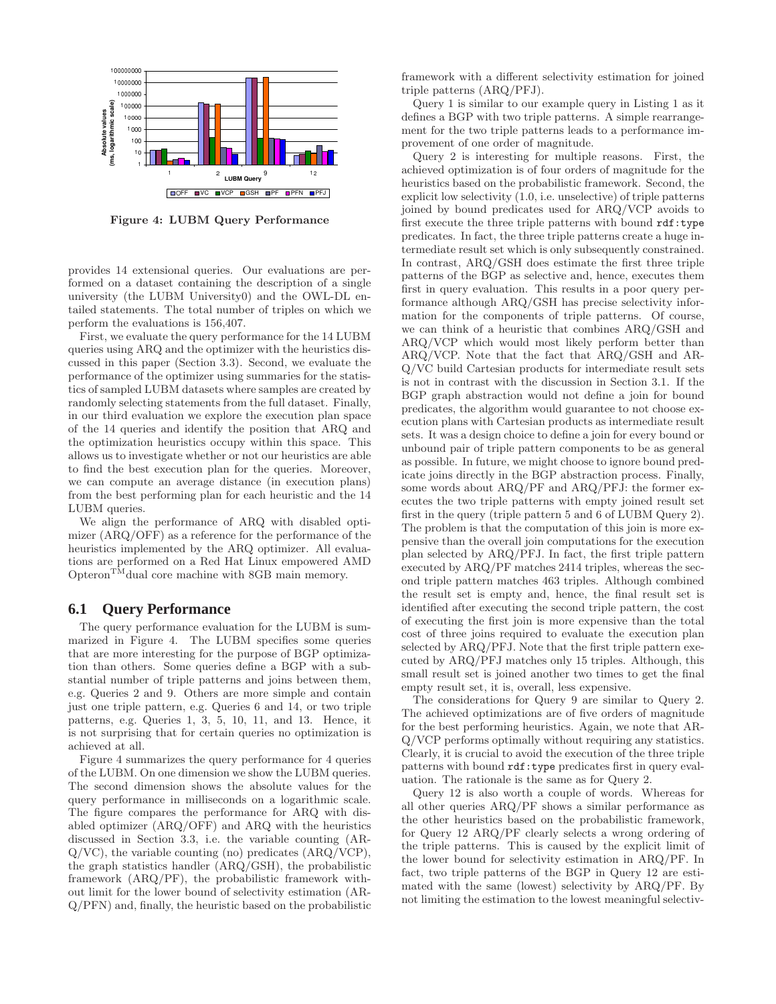

Figure 4: LUBM Query Performance

provides 14 extensional queries. Our evaluations are performed on a dataset containing the description of a single university (the LUBM University0) and the OWL-DL entailed statements. The total number of triples on which we perform the evaluations is 156,407.

First, we evaluate the query performance for the 14 LUBM queries using ARQ and the optimizer with the heuristics discussed in this paper (Section 3.3). Second, we evaluate the performance of the optimizer using summaries for the statistics of sampled LUBM datasets where samples are created by randomly selecting statements from the full dataset. Finally, in our third evaluation we explore the execution plan space of the 14 queries and identify the position that ARQ and the optimization heuristics occupy within this space. This allows us to investigate whether or not our heuristics are able to find the best execution plan for the queries. Moreover, we can compute an average distance (in execution plans) from the best performing plan for each heuristic and the 14 LUBM queries.

We align the performance of ARQ with disabled optimizer (ARQ/OFF) as a reference for the performance of the heuristics implemented by the ARQ optimizer. All evaluations are performed on a Red Hat Linux empowered AMD  $\overline{\text{Opteron}}^{\text{TM}}$ dual core machine with 8GB main memory.

## **6.1 Query Performance**

The query performance evaluation for the LUBM is summarized in Figure 4. The LUBM specifies some queries that are more interesting for the purpose of BGP optimization than others. Some queries define a BGP with a substantial number of triple patterns and joins between them, e.g. Queries 2 and 9. Others are more simple and contain just one triple pattern, e.g. Queries 6 and 14, or two triple patterns, e.g. Queries 1, 3, 5, 10, 11, and 13. Hence, it is not surprising that for certain queries no optimization is achieved at all.

Figure 4 summarizes the query performance for 4 queries of the LUBM. On one dimension we show the LUBM queries. The second dimension shows the absolute values for the query performance in milliseconds on a logarithmic scale. The figure compares the performance for ARQ with disabled optimizer (ARQ/OFF) and ARQ with the heuristics discussed in Section 3.3, i.e. the variable counting (AR-Q/VC), the variable counting (no) predicates (ARQ/VCP), the graph statistics handler (ARQ/GSH), the probabilistic framework (ARQ/PF), the probabilistic framework without limit for the lower bound of selectivity estimation (AR-Q/PFN) and, finally, the heuristic based on the probabilistic framework with a different selectivity estimation for joined triple patterns (ARQ/PFJ).

Query 1 is similar to our example query in Listing 1 as it defines a BGP with two triple patterns. A simple rearrangement for the two triple patterns leads to a performance improvement of one order of magnitude.

Query 2 is interesting for multiple reasons. First, the achieved optimization is of four orders of magnitude for the heuristics based on the probabilistic framework. Second, the explicit low selectivity (1.0, i.e. unselective) of triple patterns joined by bound predicates used for ARQ/VCP avoids to first execute the three triple patterns with bound  $\texttt{rdf:type}$ predicates. In fact, the three triple patterns create a huge intermediate result set which is only subsequently constrained. In contrast, ARQ/GSH does estimate the first three triple patterns of the BGP as selective and, hence, executes them first in query evaluation. This results in a poor query performance although ARQ/GSH has precise selectivity information for the components of triple patterns. Of course, we can think of a heuristic that combines ARQ/GSH and ARQ/VCP which would most likely perform better than ARQ/VCP. Note that the fact that ARQ/GSH and AR-Q/VC build Cartesian products for intermediate result sets is not in contrast with the discussion in Section 3.1. If the BGP graph abstraction would not define a join for bound predicates, the algorithm would guarantee to not choose execution plans with Cartesian products as intermediate result sets. It was a design choice to define a join for every bound or unbound pair of triple pattern components to be as general as possible. In future, we might choose to ignore bound predicate joins directly in the BGP abstraction process. Finally, some words about ARQ/PF and ARQ/PFJ: the former executes the two triple patterns with empty joined result set first in the query (triple pattern 5 and 6 of LUBM Query 2). The problem is that the computation of this join is more expensive than the overall join computations for the execution plan selected by ARQ/PFJ. In fact, the first triple pattern executed by ARQ/PF matches 2414 triples, whereas the second triple pattern matches 463 triples. Although combined the result set is empty and, hence, the final result set is identified after executing the second triple pattern, the cost of executing the first join is more expensive than the total cost of three joins required to evaluate the execution plan selected by ARQ/PFJ. Note that the first triple pattern executed by ARQ/PFJ matches only 15 triples. Although, this small result set is joined another two times to get the final empty result set, it is, overall, less expensive.

The considerations for Query 9 are similar to Query 2. The achieved optimizations are of five orders of magnitude for the best performing heuristics. Again, we note that AR-Q/VCP performs optimally without requiring any statistics. Clearly, it is crucial to avoid the execution of the three triple patterns with bound rdf:type predicates first in query evaluation. The rationale is the same as for Query 2.

Query 12 is also worth a couple of words. Whereas for all other queries ARQ/PF shows a similar performance as the other heuristics based on the probabilistic framework, for Query 12 ARQ/PF clearly selects a wrong ordering of the triple patterns. This is caused by the explicit limit of the lower bound for selectivity estimation in ARQ/PF. In fact, two triple patterns of the BGP in Query 12 are estimated with the same (lowest) selectivity by ARQ/PF. By not limiting the estimation to the lowest meaningful selectiv-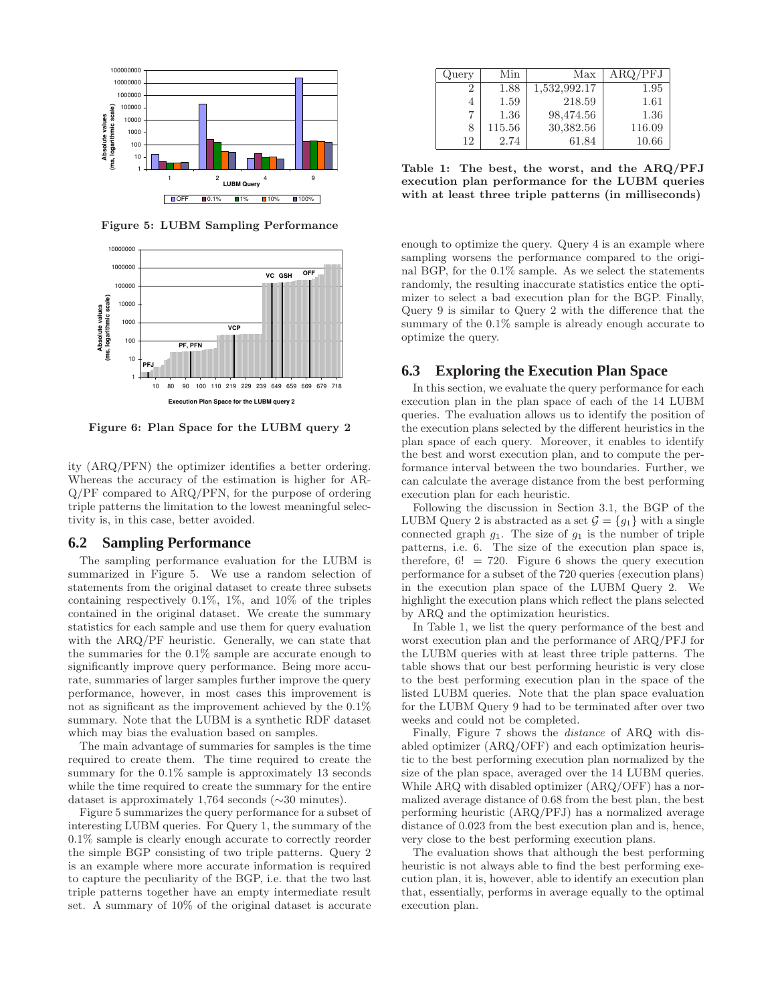

Figure 5: LUBM Sampling Performance



Figure 6: Plan Space for the LUBM query 2

ity (ARQ/PFN) the optimizer identifies a better ordering. Whereas the accuracy of the estimation is higher for AR-Q/PF compared to ARQ/PFN, for the purpose of ordering triple patterns the limitation to the lowest meaningful selectivity is, in this case, better avoided.

#### **6.2 Sampling Performance**

The sampling performance evaluation for the LUBM is summarized in Figure 5. We use a random selection of statements from the original dataset to create three subsets containing respectively  $0.1\%$ ,  $1\%$ , and  $10\%$  of the triples contained in the original dataset. We create the summary statistics for each sample and use them for query evaluation with the ARQ/PF heuristic. Generally, we can state that the summaries for the 0.1% sample are accurate enough to significantly improve query performance. Being more accurate, summaries of larger samples further improve the query performance, however, in most cases this improvement is not as significant as the improvement achieved by the 0.1% summary. Note that the LUBM is a synthetic RDF dataset which may bias the evaluation based on samples.

The main advantage of summaries for samples is the time required to create them. The time required to create the summary for the 0.1% sample is approximately 13 seconds while the time required to create the summary for the entire dataset is approximately 1,764 seconds (∼30 minutes).

Figure 5 summarizes the query performance for a subset of interesting LUBM queries. For Query 1, the summary of the 0.1% sample is clearly enough accurate to correctly reorder the simple BGP consisting of two triple patterns. Query 2 is an example where more accurate information is required to capture the peculiarity of the BGP, i.e. that the two last triple patterns together have an empty intermediate result set. A summary of 10% of the original dataset is accurate

| Query | Min    | Max          | ARQ/PFJ |
|-------|--------|--------------|---------|
|       | 1.88   | 1,532,992.17 | 1.95    |
|       | 1.59   | 218.59       | 1.61    |
|       | 1.36   | 98,474.56    | 1.36    |
| 8     | 115.56 | 30,382.56    | 116.09  |
| 12    | 2.74   | 61.84        | 10.66   |

Table 1: The best, the worst, and the ARQ/PFJ execution plan performance for the LUBM queries with at least three triple patterns (in milliseconds)

enough to optimize the query. Query 4 is an example where sampling worsens the performance compared to the original BGP, for the 0.1% sample. As we select the statements randomly, the resulting inaccurate statistics entice the optimizer to select a bad execution plan for the BGP. Finally, Query 9 is similar to Query 2 with the difference that the summary of the 0.1% sample is already enough accurate to optimize the query.

# **6.3 Exploring the Execution Plan Space**

In this section, we evaluate the query performance for each execution plan in the plan space of each of the 14 LUBM queries. The evaluation allows us to identify the position of the execution plans selected by the different heuristics in the plan space of each query. Moreover, it enables to identify the best and worst execution plan, and to compute the performance interval between the two boundaries. Further, we can calculate the average distance from the best performing execution plan for each heuristic.

Following the discussion in Section 3.1, the BGP of the LUBM Query 2 is abstracted as a set  $\mathcal{G} = \{g_1\}$  with a single connected graph  $g_1$ . The size of  $g_1$  is the number of triple patterns, i.e. 6. The size of the execution plan space is, therefore,  $6! = 720$ . Figure 6 shows the query execution performance for a subset of the 720 queries (execution plans) in the execution plan space of the LUBM Query 2. We highlight the execution plans which reflect the plans selected by ARQ and the optimization heuristics.

In Table 1, we list the query performance of the best and worst execution plan and the performance of ARQ/PFJ for the LUBM queries with at least three triple patterns. The table shows that our best performing heuristic is very close to the best performing execution plan in the space of the listed LUBM queries. Note that the plan space evaluation for the LUBM Query 9 had to be terminated after over two weeks and could not be completed.

Finally, Figure 7 shows the distance of ARQ with disabled optimizer (ARQ/OFF) and each optimization heuristic to the best performing execution plan normalized by the size of the plan space, averaged over the 14 LUBM queries. While ARQ with disabled optimizer (ARQ/OFF) has a normalized average distance of 0.68 from the best plan, the best performing heuristic (ARQ/PFJ) has a normalized average distance of 0.023 from the best execution plan and is, hence, very close to the best performing execution plans.

The evaluation shows that although the best performing heuristic is not always able to find the best performing execution plan, it is, however, able to identify an execution plan that, essentially, performs in average equally to the optimal execution plan.